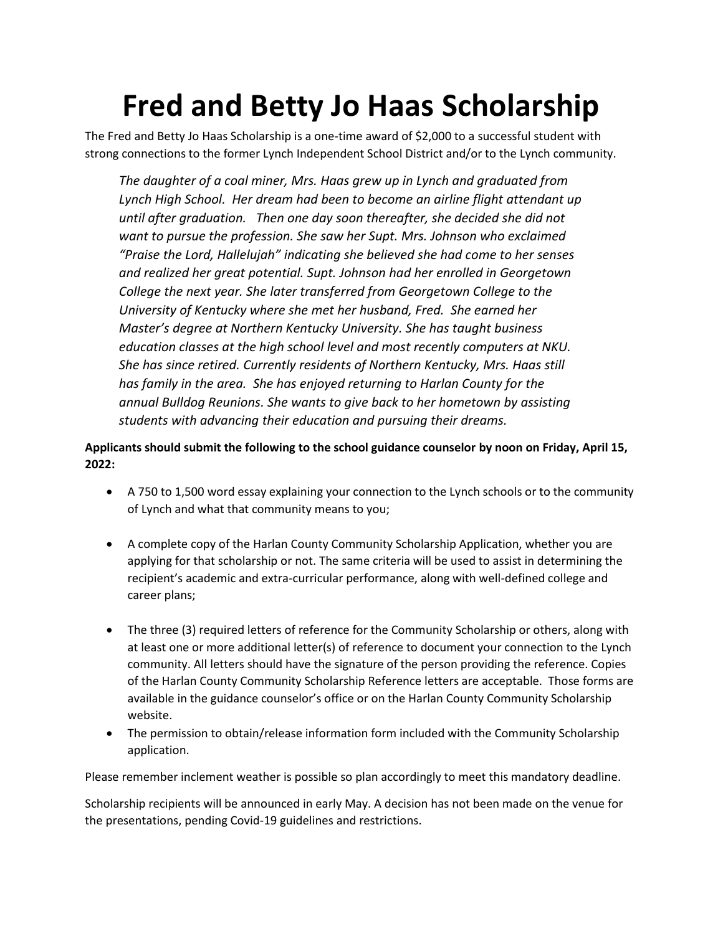## **Fred and Betty Jo Haas Scholarship**

The Fred and Betty Jo Haas Scholarship is a one-time award of \$2,000 to a successful student with strong connections to the former Lynch Independent School District and/or to the Lynch community.

*The daughter of a coal miner, Mrs. Haas grew up in Lynch and graduated from Lynch High School. Her dream had been to become an airline flight attendant up until after graduation. Then one day soon thereafter, she decided she did not want to pursue the profession. She saw her Supt. Mrs. Johnson who exclaimed "Praise the Lord, Hallelujah" indicating she believed she had come to her senses and realized her great potential. Supt. Johnson had her enrolled in Georgetown College the next year. She later transferred from Georgetown College to the University of Kentucky where she met her husband, Fred. She earned her Master's degree at Northern Kentucky University. She has taught business education classes at the high school level and most recently computers at NKU. She has since retired. Currently residents of Northern Kentucky, Mrs. Haas still has family in the area. She has enjoyed returning to Harlan County for the annual Bulldog Reunions. She wants to give back to her hometown by assisting students with advancing their education and pursuing their dreams.* 

**Applicants should submit the following to the school guidance counselor by noon on Friday, April 15, 2022:** 

- A 750 to 1,500 word essay explaining your connection to the Lynch schools or to the community of Lynch and what that community means to you;
- A complete copy of the Harlan County Community Scholarship Application, whether you are applying for that scholarship or not. The same criteria will be used to assist in determining the recipient's academic and extra-curricular performance, along with well-defined college and career plans;
- The three (3) required letters of reference for the Community Scholarship or others, along with at least one or more additional letter(s) of reference to document your connection to the Lynch community. All letters should have the signature of the person providing the reference. Copies of the Harlan County Community Scholarship Reference letters are acceptable. Those forms are available in the guidance counselor's office or on the Harlan County Community Scholarship website.
- The permission to obtain/release information form included with the Community Scholarship application.

Please remember inclement weather is possible so plan accordingly to meet this mandatory deadline.

Scholarship recipients will be announced in early May. A decision has not been made on the venue for the presentations, pending Covid-19 guidelines and restrictions.